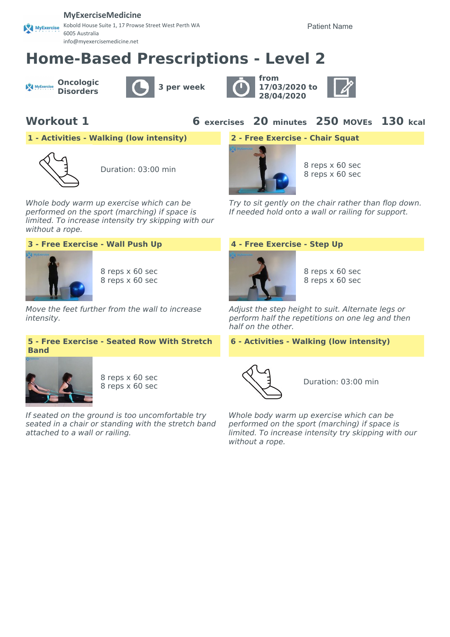### **MyExerciseMedicine**

Kobold House Suite 1, 17 Prowse Street West Perth WA MyExercise 6005 Australia info@myexercisemedicine.net

Patient Name

# **Home-Based Prescriptions - Level 2**

**Oncologic** MyExercise







**Workout 1 6 exercises 20 minutes 250 MOVEs 130 kcal**

**1 - Activities - Walking (low intensity) 2 - Free Exercise - Chair Squat**



Whole body warm up exercise which can be performed on the sport (marching) if space is limited. To increase intensity try skipping with our without a rope.



8 reps x 60 sec 8 reps x 60 sec

Move the feet further from the wall to increase intensity.

### **5 - Free Exercise - Seated Row With Stretch Band**



8 reps x 60 sec 8 reps x 60 sec B reps x 60 sec B reps x 60 sec B reps x 60 sec B reps x 60 sec B reps x 80 sec B reps x 80 sec

If seated on the ground is too uncomfortable try seated in a chair or standing with the stretch band attached to a wall or railing.



8 reps x 60 sec

Try to sit gently on the chair rather than flop down. If needed hold onto a wall or railing for support.

### **3 - Free Exercise - Wall Push Up 4 - Free Exercise - Step Up**



8 reps x 60 sec 8 reps x 60 sec

Adjust the step height to suit. Alternate legs or perform half the repetitions on one leg and then half on the other.

### **6 - Activities - Walking (low intensity)**



Whole body warm up exercise which can be performed on the sport (marching) if space is limited. To increase intensity try skipping with our without a rope.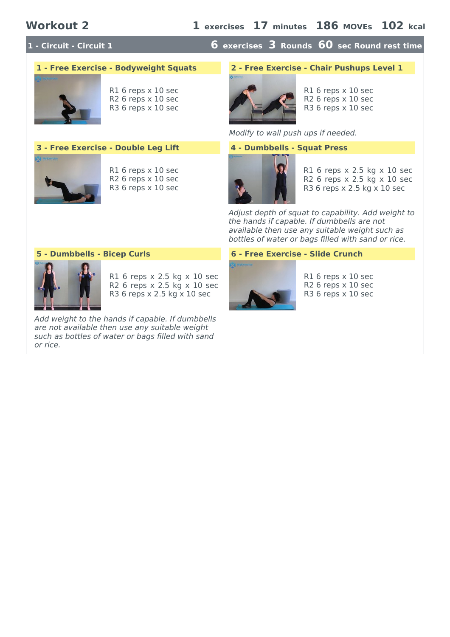## **1 - Circuit - Circuit 1 6 exercises 3 Rounds 60 sec Round rest time**



R1 6 reps x 10 sec R2 6 reps x 10 sec R3 6 reps x 10 sec

### **3 - Free Exercise - Double Leg Lift 4 - Dumbbells - Squat Press**



R1 6 reps x 10 sec R2 6 reps x 10 sec R3 6 reps x 10 sec

### **1 - Free Exercise - Bodyweight Squats 2 - Free Exercise - Chair Pushups Level 1**



R1 6 reps x 10 sec R2 6 reps x 10 sec R3 6 reps x 10 sec

Modify to wall push ups if needed.



R1 6 reps x 2.5 kg x 10 sec R2 6 reps x 2.5 kg x 10 sec R3 6 reps x 2.5 kg x 10 sec

Adjust depth of squat to capability. Add weight to the hands if capable. If dumbbells are not available then use any suitable weight such as bottles of water or bags filled with sand or rice.



R1 6 reps x 2.5 kg x 10 sec R2 6 reps x 2.5 kg x 10 sec R3 6 reps x 2.5 kg x 10 sec

Add weight to the hands if capable. If dumbbells are not available then use any suitable weight such as bottles of water or bags filled with sand or rice.

### **5 - Dumbbells - Bicep Curls 6 - Free Exercise - Slide Crunch**



R1 6 reps x 10 sec R2 6 reps x 10 sec R3 6 reps x 10 sec